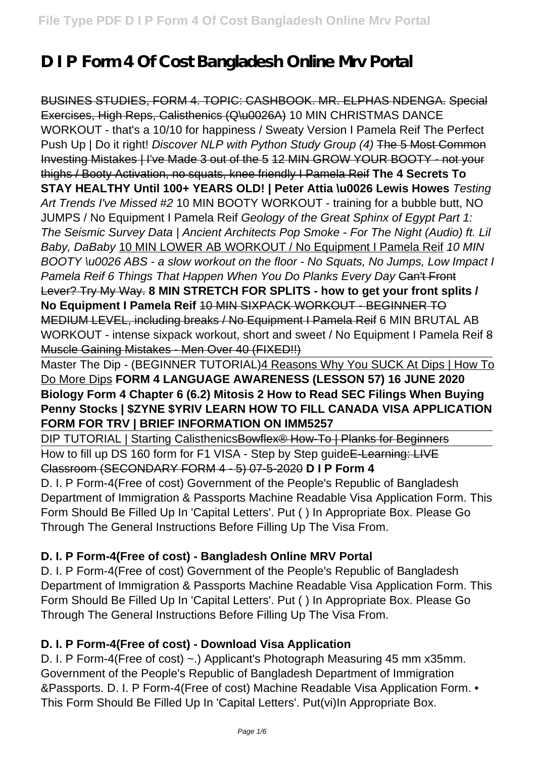# **D I P Form 4 Of Cost Bangladesh Online Mrv Portal**

BUSINES STUDIES, FORM 4. TOPIC: CASHBOOK. MR. ELPHAS NDENGA. Special Exercises, High Reps, Calisthenics (Q\u0026A) 10 MIN CHRISTMAS DANCE WORKOUT - that's a 10/10 for happiness / Sweaty Version I Pamela Reif The Perfect Push Up | Do it right! Discover NLP with Python Study Group (4) The 5 Most Common Investing Mistakes | I've Made 3 out of the 5 12 MIN GROW YOUR BOOTY - not your thighs / Booty Activation, no squats, knee friendly I Pamela Reif **The 4 Secrets To STAY HEALTHY Until 100+ YEARS OLD! | Peter Attia \u0026 Lewis Howes** Testing Art Trends I've Missed #2 10 MIN BOOTY WORKOUT - training for a bubble butt, NO JUMPS / No Equipment I Pamela Reif Geology of the Great Sphinx of Egypt Part 1: The Seismic Survey Data | Ancient Architects Pop Smoke - For The Night (Audio) ft. Lil Baby, DaBaby 10 MIN LOWER AB WORKOUT / No Equipment I Pamela Reif 10 MIN BOOTY \u0026 ABS - a slow workout on the floor - No Squats, No Jumps, Low Impact I Pamela Reif 6 Things That Happen When You Do Planks Every Day Can't Front Lever? Try My Way. **8 MIN STRETCH FOR SPLITS - how to get your front splits / No Equipment I Pamela Reif** 10 MIN SIXPACK WORKOUT - BEGINNER TO MEDIUM LEVEL, including breaks / No Equipment I Pamela Reif 6 MIN BRUTAL AB WORKOUT - intense sixpack workout, short and sweet / No Equipment I Pamela Reif 8 Muscle Gaining Mistakes - Men Over 40 (FIXED!!)

Master The Dip - (BEGINNER TUTORIAL)4 Reasons Why You SUCK At Dips | How To Do More Dips **FORM 4 LANGUAGE AWARENESS (LESSON 57) 16 JUNE 2020 Biology Form 4 Chapter 6 (6.2) Mitosis 2 How to Read SEC Filings When Buying Penny Stocks | \$ZYNE \$YRIV LEARN HOW TO FILL CANADA VISA APPLICATION FORM FOR TRV | BRIEF INFORMATION ON IMM5257**

DIP TUTORIAL | Starting CalisthenicsBowflex<sup>®</sup> How-To | Planks for Beginners How to fill up DS 160 form for F1 VISA - Step by Step guide E-Learning: LIVE Classroom (SECONDARY FORM 4 - 5) 07-5-2020 **D I P Form 4** D. I. P Form-4(Free of cost) Government of the People's Republic of Bangladesh Department of Immigration & Passports Machine Readable Visa Application Form. This Form Should Be Filled Up In 'Capital Letters'. Put ( ) In Appropriate Box. Please Go Through The General Instructions Before Filling Up The Visa From.

## **D. I. P Form-4(Free of cost) - Bangladesh Online MRV Portal**

D. I. P Form-4(Free of cost) Government of the People's Republic of Bangladesh Department of Immigration & Passports Machine Readable Visa Application Form. This Form Should Be Filled Up In 'Capital Letters'. Put ( ) In Appropriate Box. Please Go Through The General Instructions Before Filling Up The Visa From.

## **D. I. P Form-4(Free of cost) - Download Visa Application**

D. I. P Form-4(Free of cost) ~.) Applicant's Photograph Measuring 45 mm x35mm. Government of the People's Republic of Bangladesh Department of Immigration &Passports. D. I. P Form-4(Free of cost) Machine Readable Visa Application Form. • This Form Should Be Filled Up In 'Capital Letters'. Put(vi)In Appropriate Box.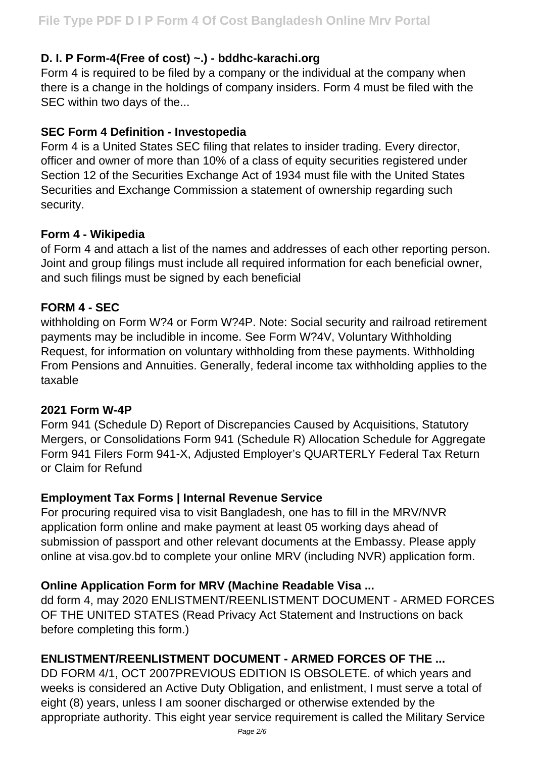## **D. I. P Form-4(Free of cost) ~.) - bddhc-karachi.org**

Form 4 is required to be filed by a company or the individual at the company when there is a change in the holdings of company insiders. Form 4 must be filed with the SEC within two days of the...

#### **SEC Form 4 Definition - Investopedia**

Form 4 is a United States SEC filing that relates to insider trading. Every director, officer and owner of more than 10% of a class of equity securities registered under Section 12 of the Securities Exchange Act of 1934 must file with the United States Securities and Exchange Commission a statement of ownership regarding such security.

## **Form 4 - Wikipedia**

of Form 4 and attach a list of the names and addresses of each other reporting person. Joint and group filings must include all required information for each beneficial owner, and such filings must be signed by each beneficial

## **FORM 4 - SEC**

withholding on Form W?4 or Form W?4P. Note: Social security and railroad retirement payments may be includible in income. See Form W?4V, Voluntary Withholding Request, for information on voluntary withholding from these payments. Withholding From Pensions and Annuities. Generally, federal income tax withholding applies to the taxable

#### **2021 Form W-4P**

Form 941 (Schedule D) Report of Discrepancies Caused by Acquisitions, Statutory Mergers, or Consolidations Form 941 (Schedule R) Allocation Schedule for Aggregate Form 941 Filers Form 941-X, Adjusted Employer's QUARTERLY Federal Tax Return or Claim for Refund

#### **Employment Tax Forms | Internal Revenue Service**

For procuring required visa to visit Bangladesh, one has to fill in the MRV/NVR application form online and make payment at least 05 working days ahead of submission of passport and other relevant documents at the Embassy. Please apply online at visa.gov.bd to complete your online MRV (including NVR) application form.

## **Online Application Form for MRV (Machine Readable Visa ...**

dd form 4, may 2020 ENLISTMENT/REENLISTMENT DOCUMENT - ARMED FORCES OF THE UNITED STATES (Read Privacy Act Statement and Instructions on back before completing this form.)

## **ENLISTMENT/REENLISTMENT DOCUMENT - ARMED FORCES OF THE ...**

DD FORM 4/1, OCT 2007PREVIOUS EDITION IS OBSOLETE. of which years and weeks is considered an Active Duty Obligation, and enlistment, I must serve a total of eight (8) years, unless I am sooner discharged or otherwise extended by the appropriate authority. This eight year service requirement is called the Military Service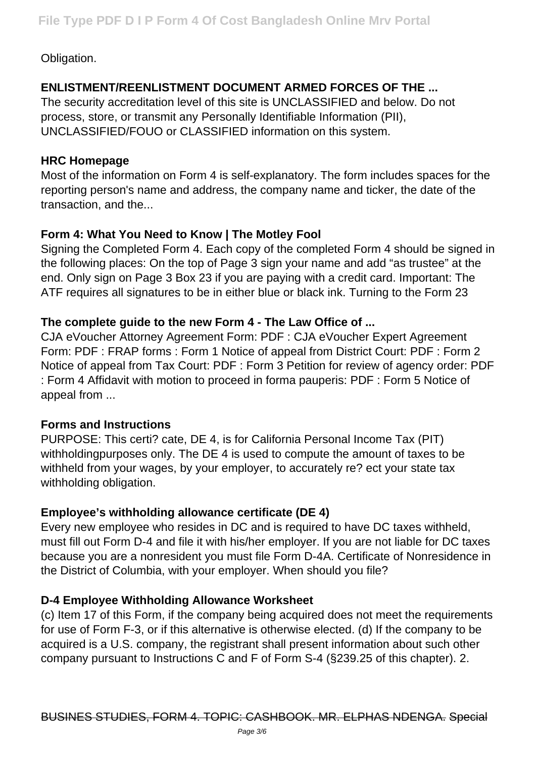Obligation.

# **ENLISTMENT/REENLISTMENT DOCUMENT ARMED FORCES OF THE ...**

The security accreditation level of this site is UNCLASSIFIED and below. Do not process, store, or transmit any Personally Identifiable Information (PII), UNCLASSIFIED/FOUO or CLASSIFIED information on this system.

#### **HRC Homepage**

Most of the information on Form 4 is self-explanatory. The form includes spaces for the reporting person's name and address, the company name and ticker, the date of the transaction, and the...

# **Form 4: What You Need to Know | The Motley Fool**

Signing the Completed Form 4. Each copy of the completed Form 4 should be signed in the following places: On the top of Page 3 sign your name and add "as trustee" at the end. Only sign on Page 3 Box 23 if you are paying with a credit card. Important: The ATF requires all signatures to be in either blue or black ink. Turning to the Form 23

## **The complete guide to the new Form 4 - The Law Office of ...**

CJA eVoucher Attorney Agreement Form: PDF : CJA eVoucher Expert Agreement Form: PDF : FRAP forms : Form 1 Notice of appeal from District Court: PDF : Form 2 Notice of appeal from Tax Court: PDF : Form 3 Petition for review of agency order: PDF : Form 4 Affidavit with motion to proceed in forma pauperis: PDF : Form 5 Notice of appeal from ...

## **Forms and Instructions**

PURPOSE: This certi? cate, DE 4, is for California Personal Income Tax (PIT) withholdingpurposes only. The DE 4 is used to compute the amount of taxes to be withheld from your wages, by your employer, to accurately re? ect your state tax withholding obligation.

## **Employee's withholding allowance certificate (DE 4)**

Every new employee who resides in DC and is required to have DC taxes withheld, must fill out Form D-4 and file it with his/her employer. If you are not liable for DC taxes because you are a nonresident you must file Form D-4A. Certificate of Nonresidence in the District of Columbia, with your employer. When should you file?

## **D-4 Employee Withholding Allowance Worksheet**

(c) Item 17 of this Form, if the company being acquired does not meet the requirements for use of Form F-3, or if this alternative is otherwise elected. (d) If the company to be acquired is a U.S. company, the registrant shall present information about such other company pursuant to Instructions C and F of Form S-4 (§239.25 of this chapter). 2.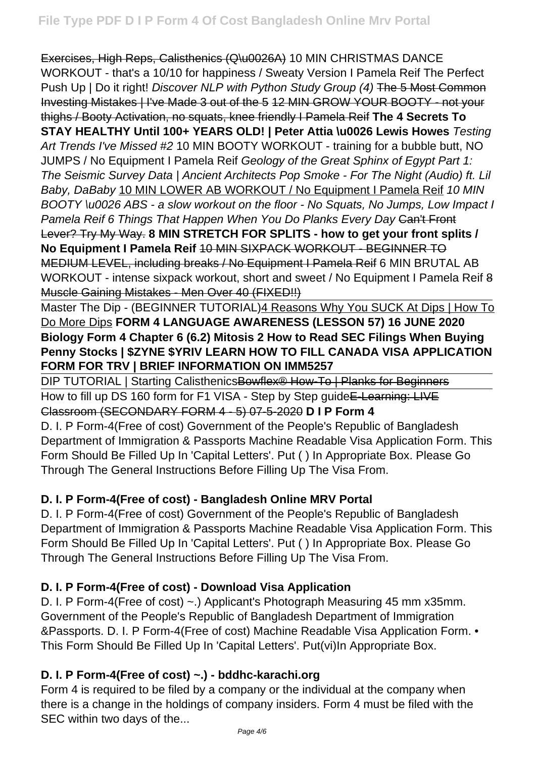Exercises, High Reps, Calisthenics (Q\u0026A) 10 MIN CHRISTMAS DANCE WORKOUT - that's a 10/10 for happiness / Sweaty Version I Pamela Reif The Perfect Push Up | Do it right! Discover NLP with Python Study Group (4) The 5 Most Common Investing Mistakes | I've Made 3 out of the 5 12 MIN GROW YOUR BOOTY - not your thighs / Booty Activation, no squats, knee friendly I Pamela Reif **The 4 Secrets To STAY HEALTHY Until 100+ YEARS OLD! | Peter Attia \u0026 Lewis Howes** Testing Art Trends I've Missed #2 10 MIN BOOTY WORKOUT - training for a bubble butt, NO JUMPS / No Equipment I Pamela Reif Geology of the Great Sphinx of Egypt Part 1: The Seismic Survey Data | Ancient Architects Pop Smoke - For The Night (Audio) ft. Lil Baby, DaBaby 10 MIN LOWER AB WORKOUT / No Equipment I Pamela Reif 10 MIN BOOTY \u0026 ABS - a slow workout on the floor - No Squats, No Jumps, Low Impact I Pamela Reif 6 Things That Happen When You Do Planks Every Day Can't Front Lever? Try My Way. **8 MIN STRETCH FOR SPLITS - how to get your front splits / No Equipment I Pamela Reif** 10 MIN SIXPACK WORKOUT - BEGINNER TO MEDIUM LEVEL, including breaks / No Equipment I Pamela Reif 6 MIN BRUTAL AB WORKOUT - intense sixpack workout, short and sweet / No Equipment I Pamela Reif 8 Muscle Gaining Mistakes - Men Over 40 (FIXED!!)

Master The Dip - (BEGINNER TUTORIAL) 4 Reasons Why You SUCK At Dips | How To Do More Dips **FORM 4 LANGUAGE AWARENESS (LESSON 57) 16 JUNE 2020 Biology Form 4 Chapter 6 (6.2) Mitosis 2 How to Read SEC Filings When Buying Penny Stocks | \$ZYNE \$YRIV LEARN HOW TO FILL CANADA VISA APPLICATION FORM FOR TRV | BRIEF INFORMATION ON IMM5257**

DIP TUTORIAL | Starting CalisthenicsBowflex<sup>®</sup> How-To | Planks for Beginners How to fill up DS 160 form for F1 VISA - Step by Step quide E-Learning: LIVE Classroom (SECONDARY FORM 4 - 5) 07-5-2020 **D I P Form 4**

D. I. P Form-4(Free of cost) Government of the People's Republic of Bangladesh Department of Immigration & Passports Machine Readable Visa Application Form. This Form Should Be Filled Up In 'Capital Letters'. Put ( ) In Appropriate Box. Please Go Through The General Instructions Before Filling Up The Visa From.

## **D. I. P Form-4(Free of cost) - Bangladesh Online MRV Portal**

D. I. P Form-4(Free of cost) Government of the People's Republic of Bangladesh Department of Immigration & Passports Machine Readable Visa Application Form. This Form Should Be Filled Up In 'Capital Letters'. Put ( ) In Appropriate Box. Please Go Through The General Instructions Before Filling Up The Visa From.

## **D. I. P Form-4(Free of cost) - Download Visa Application**

D. I. P Form-4(Free of cost) ~.) Applicant's Photograph Measuring 45 mm x35mm. Government of the People's Republic of Bangladesh Department of Immigration &Passports. D. I. P Form-4(Free of cost) Machine Readable Visa Application Form. • This Form Should Be Filled Up In 'Capital Letters'. Put(vi)In Appropriate Box.

## **D. I. P Form-4(Free of cost) ~.) - bddhc-karachi.org**

Form 4 is required to be filed by a company or the individual at the company when there is a change in the holdings of company insiders. Form 4 must be filed with the SEC within two days of the...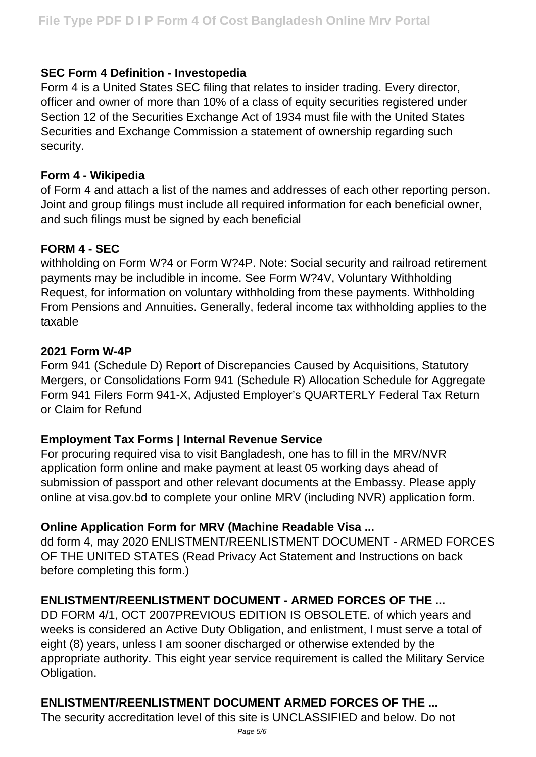#### **SEC Form 4 Definition - Investopedia**

Form 4 is a United States SEC filing that relates to insider trading. Every director, officer and owner of more than 10% of a class of equity securities registered under Section 12 of the Securities Exchange Act of 1934 must file with the United States Securities and Exchange Commission a statement of ownership regarding such security.

#### **Form 4 - Wikipedia**

of Form 4 and attach a list of the names and addresses of each other reporting person. Joint and group filings must include all required information for each beneficial owner, and such filings must be signed by each beneficial

#### **FORM 4 - SEC**

withholding on Form W?4 or Form W?4P. Note: Social security and railroad retirement payments may be includible in income. See Form W?4V, Voluntary Withholding Request, for information on voluntary withholding from these payments. Withholding From Pensions and Annuities. Generally, federal income tax withholding applies to the taxable

#### **2021 Form W-4P**

Form 941 (Schedule D) Report of Discrepancies Caused by Acquisitions, Statutory Mergers, or Consolidations Form 941 (Schedule R) Allocation Schedule for Aggregate Form 941 Filers Form 941-X, Adjusted Employer's QUARTERLY Federal Tax Return or Claim for Refund

#### **Employment Tax Forms | Internal Revenue Service**

For procuring required visa to visit Bangladesh, one has to fill in the MRV/NVR application form online and make payment at least 05 working days ahead of submission of passport and other relevant documents at the Embassy. Please apply online at visa.gov.bd to complete your online MRV (including NVR) application form.

#### **Online Application Form for MRV (Machine Readable Visa ...**

dd form 4, may 2020 ENLISTMENT/REENLISTMENT DOCUMENT - ARMED FORCES OF THE UNITED STATES (Read Privacy Act Statement and Instructions on back before completing this form.)

#### **ENLISTMENT/REENLISTMENT DOCUMENT - ARMED FORCES OF THE ...**

DD FORM 4/1, OCT 2007PREVIOUS EDITION IS OBSOLETE. of which years and weeks is considered an Active Duty Obligation, and enlistment, I must serve a total of eight (8) years, unless I am sooner discharged or otherwise extended by the appropriate authority. This eight year service requirement is called the Military Service Obligation.

## **ENLISTMENT/REENLISTMENT DOCUMENT ARMED FORCES OF THE ...**

The security accreditation level of this site is UNCLASSIFIED and below. Do not